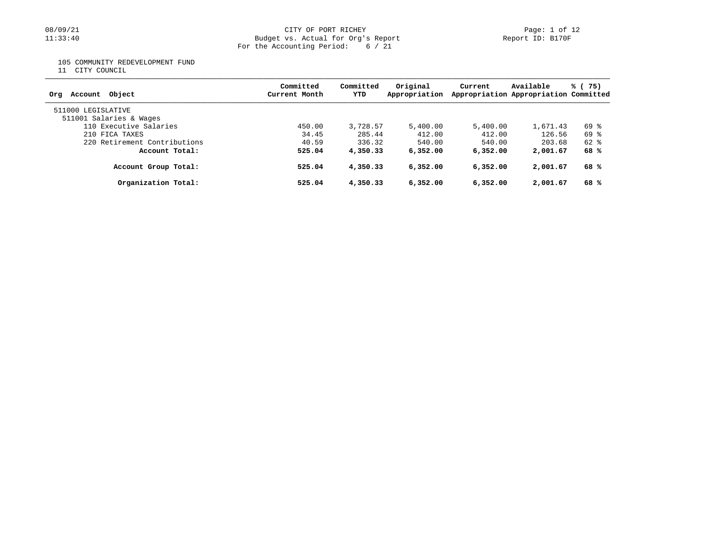### 08/09/21 CITY OF PORT RICHEY Page: 1 of 12 11:33:40 Budget vs. Actual for Org's Report Report ID: B170F For the Accounting Period: 6 / 21

105 COMMUNITY REDEVELOPMENT FUND

11 CITY COUNCIL

| Object<br>Account<br>Ora                      | Committed<br>Current Month | Committed<br>YTD | Original<br>Appropriation | Current  | Available<br>Appropriation Appropriation Committed | % (75)   |
|-----------------------------------------------|----------------------------|------------------|---------------------------|----------|----------------------------------------------------|----------|
| 511000 LEGISLATIVE<br>511001 Salaries & Wages |                            |                  |                           |          |                                                    |          |
| 110 Executive Salaries                        | 450.00                     | 3,728.57         | 5,400.00                  | 5,400.00 | 1,671.43                                           | 69 %     |
| 210 FICA TAXES                                | 34.45                      | 285.44           | 412.00                    | 412.00   | 126.56                                             | 69 %     |
| 220 Retirement Contributions                  | 40.59                      | 336.32           | 540.00                    | 540.00   | 203.68                                             | $62$ $%$ |
| Account Total:                                | 525.04                     | 4,350.33         | 6,352.00                  | 6,352,00 | 2,001.67                                           | 68 %     |
| Account Group Total:                          | 525.04                     | 4,350.33         | 6,352.00                  | 6,352.00 | 2,001.67                                           | 68 %     |
| Organization Total:                           | 525.04                     | 4,350.33         | 6,352,00                  | 6,352.00 | 2,001.67                                           | 68 %     |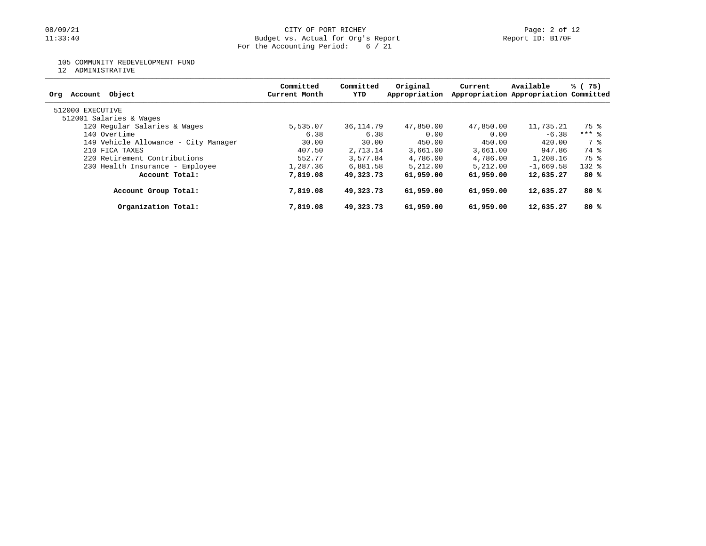### 08/09/21 CITY OF PORT RICHEY Page: 2 of 12 11:33:40 Budget vs. Actual for Org's Report Report ID: B170F For the Accounting Period: 6 / 21

### 105 COMMUNITY REDEVELOPMENT FUND

12 ADMINISTRATIVE

| Object<br>Account<br>Org             | Committed<br>Current Month | Committed<br>YTD | Original<br>Appropriation | Current   | Available<br>Appropriation Appropriation Committed | % (75)    |
|--------------------------------------|----------------------------|------------------|---------------------------|-----------|----------------------------------------------------|-----------|
| 512000 EXECUTIVE                     |                            |                  |                           |           |                                                    |           |
| 512001 Salaries & Wages              |                            |                  |                           |           |                                                    |           |
| 120 Regular Salaries & Wages         | 5,535.07                   | 36,114.79        | 47,850.00                 | 47,850.00 | 11,735.21                                          | 75 %      |
| 140 Overtime                         | 6.38                       | 6.38             | 0.00                      | 0.00      | $-6.38$                                            | $***$ 8   |
| 149 Vehicle Allowance - City Manager | 30.00                      | 30.00            | 450.00                    | 450.00    | 420.00                                             | 7 %       |
| 210 FICA TAXES                       | 407.50                     | 2,713.14         | 3,661.00                  | 3,661.00  | 947.86                                             | 74 %      |
| 220 Retirement Contributions         | 552.77                     | 3,577.84         | 4,786.00                  | 4,786.00  | 1,208.16                                           | 75 %      |
| 230 Health Insurance - Employee      | 1,287.36                   | 6,881.58         | 5,212.00                  | 5.212.00  | $-1.669.58$                                        | $132$ $%$ |
| Account Total:                       | 7,819.08                   | 49,323,73        | 61,959.00                 | 61,959.00 | 12,635.27                                          | 80 %      |
| Account Group Total:                 | 7,819.08                   | 49,323.73        | 61,959.00                 | 61,959.00 | 12,635.27                                          | 80 %      |
| Organization Total:                  | 7,819.08                   | 49,323.73        | 61,959.00                 | 61,959.00 | 12,635.27                                          | 80%       |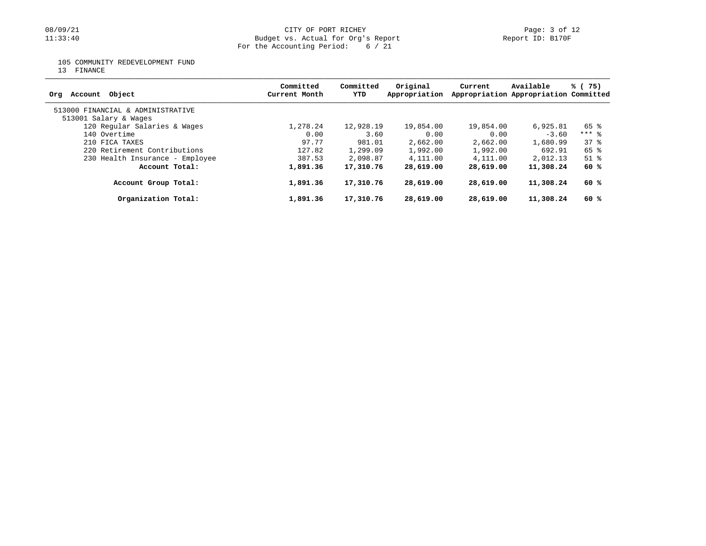# 08/09/21 CITY OF PORT RICHEY Page: 3 of 12<br>
Budget vs. Actual for Org's Report Page: 1 Page: 3 of 12<br>
Page: 3 of 12 Budget vs. Actual for Org's Report For the Accounting Period: 6 / 21

105 COMMUNITY REDEVELOPMENT FUND

13 FINANCE

| Account Object<br>Orq             | Committed<br>Current Month | Committed<br>YTD | Original<br>Appropriation | Current   | Available<br>Appropriation Appropriation Committed | % (75)              |
|-----------------------------------|----------------------------|------------------|---------------------------|-----------|----------------------------------------------------|---------------------|
| 513000 FINANCIAL & ADMINISTRATIVE |                            |                  |                           |           |                                                    |                     |
| 513001 Salary & Wages             |                            |                  |                           |           |                                                    |                     |
| 120 Regular Salaries & Wages      | 1,278.24                   | 12,928.19        | 19,854.00                 | 19,854.00 | 6,925.81                                           | 65 %                |
| 140 Overtime                      | 0.00                       | 3.60             | 0.00                      | 0.00      | $-3.60$                                            | $***$ $\frac{6}{5}$ |
| 210 FICA TAXES                    | 97.77                      | 981.01           | 2,662.00                  | 2,662.00  | 1,680.99                                           | 378                 |
| 220 Retirement Contributions      | 127.82                     | 1,299.09         | 1,992.00                  | 1,992.00  | 692.91                                             | 65 %                |
| 230 Health Insurance - Employee   | 387.53                     | 2,098.87         | 4,111.00                  | 4,111.00  | 2,012.13                                           | $51$ $%$            |
| Account Total:                    | 1,891.36                   | 17,310.76        | 28,619.00                 | 28,619.00 | 11,308.24                                          | 60 %                |
| Account Group Total:              | 1,891.36                   | 17,310.76        | 28,619.00                 | 28,619.00 | 11,308.24                                          | 60 %                |
| Organization Total:               | 1,891.36                   | 17,310.76        | 28,619.00                 | 28,619.00 | 11,308.24                                          | 60 %                |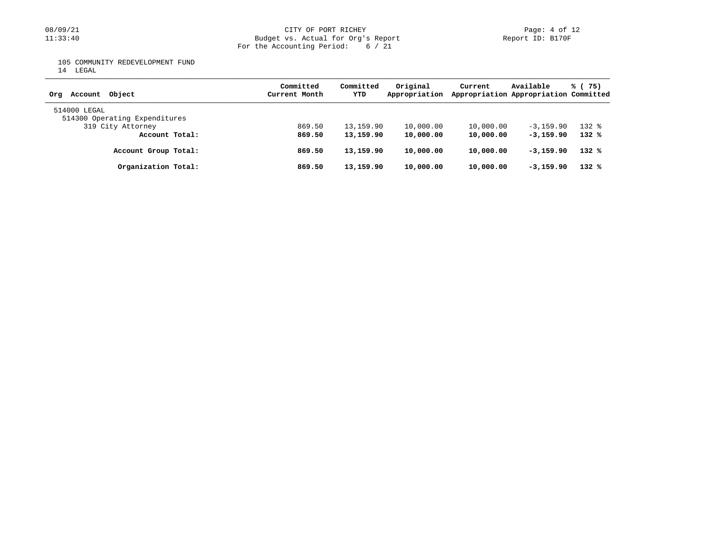## 08/09/21 CITY OF PORT RICHEY Page: 4 of 12<br>11:33:40 Budget vs. Actual for Org's Report (Report ID: B170F Budget vs. Actual for Org's Report For the Accounting Period: 6 / 21

105 COMMUNITY REDEVELOPMENT FUND

14 LEGAL

| Account Object<br>Orq                         | Committed<br>Current Month | Committed<br>YTD | Original<br>Appropriation | Current   | Available<br>Appropriation Appropriation Committed | % (75)    |
|-----------------------------------------------|----------------------------|------------------|---------------------------|-----------|----------------------------------------------------|-----------|
| 514000 LEGAL<br>514300 Operating Expenditures |                            |                  |                           |           |                                                    |           |
| 319 City Attorney                             | 869.50                     | 13,159.90        | 10,000.00                 | 10,000.00 | $-3, 159, 90$                                      | $132$ $%$ |
| Account Total:                                | 869.50                     | 13,159.90        | 10,000.00                 | 10,000.00 | $-3,159.90$                                        | $132*$    |
| Account Group Total:                          | 869.50                     | 13,159.90        | 10,000.00                 | 10,000.00 | $-3,159.90$                                        | $132*$    |
| Organization Total:                           | 869.50                     | 13,159.90        | 10,000.00                 | 10,000.00 | $-3,159.90$                                        | $132*$    |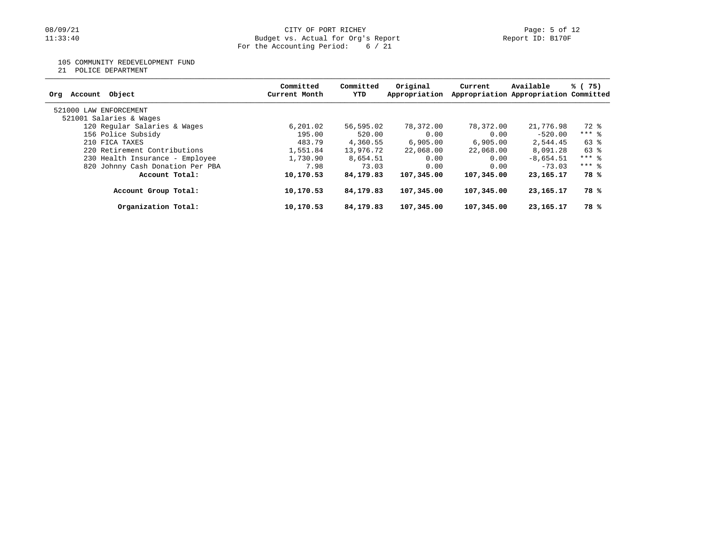### 08/09/21 CITY OF PORT RICHEY Page: 5 of 12 11:33:40 Budget vs. Actual for Org's Report Report ID: B170F For the Accounting Period: 6 / 21

105 COMMUNITY REDEVELOPMENT FUND

21 POLICE DEPARTMENT

| Account Object<br>Orq            | Committed<br>Current Month | Committed<br>YTD | Original<br>Appropriation | Current    | Available<br>Appropriation Appropriation Committed | % (75)  |
|----------------------------------|----------------------------|------------------|---------------------------|------------|----------------------------------------------------|---------|
| 521000 LAW ENFORCEMENT           |                            |                  |                           |            |                                                    |         |
| 521001 Salaries & Wages          |                            |                  |                           |            |                                                    |         |
| 120 Regular Salaries & Wages     | 6,201.02                   | 56,595.02        | 78,372.00                 | 78,372.00  | 21,776.98                                          | 72 %    |
| 156 Police Subsidy               | 195.00                     | 520.00           | 0.00                      | 0.00       | $-520.00$                                          | $***$ 8 |
| 210 FICA TAXES                   | 483.79                     | 4,360.55         | 6,905.00                  | 6,905,00   | 2,544.45                                           | 63 %    |
| 220 Retirement Contributions     | 1,551.84                   | 13,976.72        | 22,068.00                 | 22,068.00  | 8,091.28                                           | 63 %    |
| 230 Health Insurance - Employee  | 1,730.90                   | 8,654.51         | 0.00                      | 0.00       | $-8,654.51$                                        | $***$ 8 |
| 820 Johnny Cash Donation Per PBA | 7.98                       | 73.03            | 0.00                      | 0.00       | $-73.03$                                           | $***$ 8 |
| Account Total:                   | 10,170.53                  | 84,179.83        | 107,345.00                | 107,345,00 | 23, 165, 17                                        | 78 %    |
| Account Group Total:             | 10,170.53                  | 84,179.83        | 107,345,00                | 107,345,00 | 23, 165, 17                                        | 78 %    |
| Organization Total:              | 10,170.53                  | 84,179.83        | 107,345.00                | 107,345.00 | 23, 165. 17                                        | 78 %    |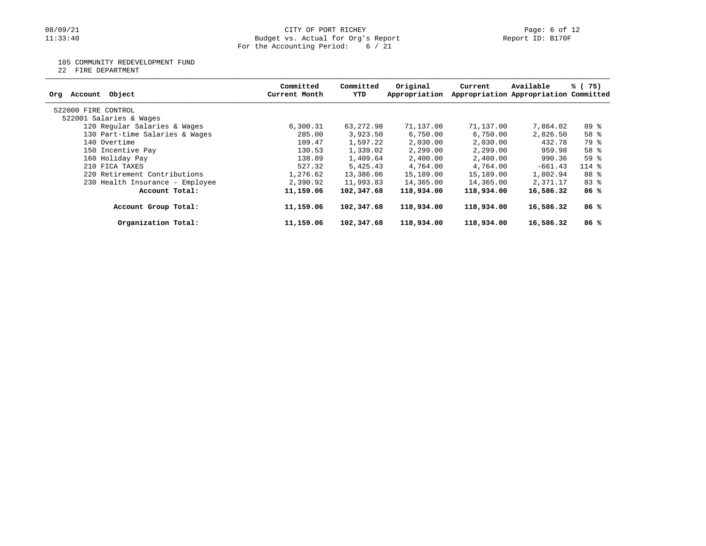### 08/09/21 CITY OF PORT RICHEY Page: 6 of 12 11:33:40 Budget vs. Actual for Org's Report Report ID: B170F For the Accounting Period: 6 / 21

### 105 COMMUNITY REDEVELOPMENT FUND

22 FIRE DEPARTMENT

| Account Object<br>Org           | Committed<br>Current Month | Committed<br>YTD | Original<br>Appropriation | Current    | Available<br>Appropriation Appropriation Committed | % (75)          |
|---------------------------------|----------------------------|------------------|---------------------------|------------|----------------------------------------------------|-----------------|
| 522000 FIRE CONTROL             |                            |                  |                           |            |                                                    |                 |
| 522001 Salaries & Wages         |                            |                  |                           |            |                                                    |                 |
| 120 Regular Salaries & Wages    | 6,300.31                   | 63,272.98        | 71,137.00                 | 71,137.00  | 7,864.02                                           | 89 %            |
| 130 Part-time Salaries & Wages  | 285.00                     | 3,923.50         | 6,750.00                  | 6,750.00   | 2,826.50                                           | 58 <sup>8</sup> |
| 140 Overtime                    | 109.47                     | 1,597.22         | 2,030.00                  | 2,030.00   | 432.78                                             | 79 %            |
|                                 |                            |                  |                           |            |                                                    |                 |
| 150 Incentive Pay               | 130.53                     | 1,339.02         | 2,299.00                  | 2,299.00   | 959.98                                             | 58 <sup>8</sup> |
| 160 Holiday Pay                 | 138.89                     | 1,409.64         | 2,400.00                  | 2,400.00   | 990.36                                             | 59 <sup>°</sup> |
| 210 FICA TAXES                  | 527.32                     | 5,425.43         | 4,764.00                  | 4,764.00   | $-661.43$                                          | $114$ %         |
| 220 Retirement Contributions    | 1,276.62                   | 13,386.06        | 15,189.00                 | 15,189.00  | 1,802.94                                           | 88 %            |
| 230 Health Insurance - Employee | 2,390.92                   | 11,993.83        | 14,365.00                 | 14,365.00  | 2,371.17                                           | $83$ $%$        |
| Account Total:                  | 11,159.06                  | 102,347.68       | 118,934.00                | 118,934.00 | 16,586.32                                          | 86%             |
| Account Group Total:            | 11,159.06                  | 102,347.68       | 118,934.00                | 118,934.00 | 16,586.32                                          | 86%             |
| Organization Total:             | 11,159.06                  | 102,347.68       | 118,934.00                | 118,934.00 | 16,586.32                                          | 86%             |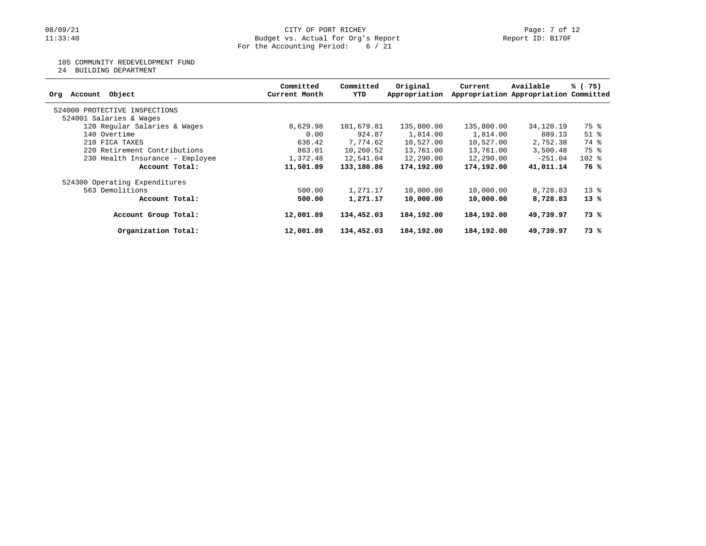## 105 COMMUNITY REDEVELOPMENT FUND

24 BUILDING DEPARTMENT

| Object<br>Account<br>Org        | Committed<br>Current Month | Committed<br>YTD | Original<br>Appropriation | Current    | Available<br>Appropriation Appropriation Committed | % (75)             |
|---------------------------------|----------------------------|------------------|---------------------------|------------|----------------------------------------------------|--------------------|
| 524000 PROTECTIVE INSPECTIONS   |                            |                  |                           |            |                                                    |                    |
| 524001 Salaries & Wages         |                            |                  |                           |            |                                                    |                    |
| 120 Regular Salaries & Wages    | 8,629.98                   | 101,679.81       | 135,800.00                | 135,800.00 | 34,120.19                                          | 75 %               |
| 140 Overtime                    | 0.00                       | 924.87           | 1,814.00                  | 1,814.00   | 889.13                                             | $51$ $\frac{6}{3}$ |
| 210 FICA TAXES                  | 636.42                     | 7,774.62         | 10,527.00                 | 10,527.00  | 2,752.38                                           | 74 %               |
| 220 Retirement Contributions    | 863.01                     | 10,260.52        | 13,761.00                 | 13,761.00  | 3,500.48                                           | 75 %               |
| 230 Health Insurance - Employee | 1,372.48                   | 12,541.04        | 12,290.00                 | 12,290.00  | $-251.04$                                          | $102$ %            |
| Account Total:                  | 11,501.89                  | 133,180.86       | 174,192.00                | 174,192.00 | 41,011.14                                          | 76 %               |
| 524300 Operating Expenditures   |                            |                  |                           |            |                                                    |                    |
| 563 Demolitions                 | 500.00                     | 1,271.17         | 10,000.00                 | 10,000.00  | 8,728.83                                           | $13*$              |
| Account Total:                  | 500.00                     | 1,271.17         | 10,000.00                 | 10,000.00  | 8,728.83                                           | $13*$              |
| Account Group Total:            | 12,001.89                  | 134,452.03       | 184,192.00                | 184,192.00 | 49,739.97                                          | 73 %               |
| Organization Total:             | 12,001.89                  | 134,452.03       | 184,192.00                | 184,192.00 | 49,739.97                                          | 73 %               |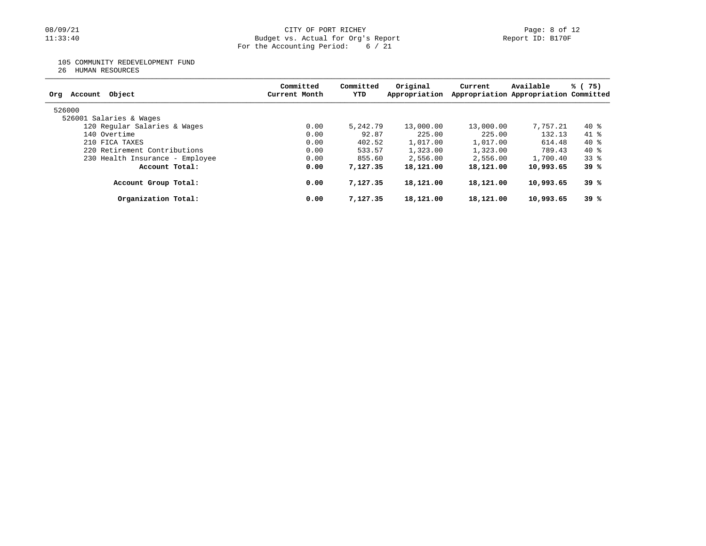# 08/09/21 CITY OF PORT RICHEY Page: 8 of 12<br>11:33:40 Budget vs. Actual for Org's Report Physics (Report ID: B170F Budget vs. Actual for Org's Report For the Accounting Period: 6 / 21

105 COMMUNITY REDEVELOPMENT FUND

26 HUMAN RESOURCES

| Object<br>Org<br>Account        | Committed<br>Current Month | Committed<br>YTD | Original<br>Appropriation | Current   | Available<br>Appropriation Appropriation Committed | % (75)   |
|---------------------------------|----------------------------|------------------|---------------------------|-----------|----------------------------------------------------|----------|
| 526000                          |                            |                  |                           |           |                                                    |          |
| 526001 Salaries & Wages         |                            |                  |                           |           |                                                    |          |
| 120 Regular Salaries & Wages    | 0.00                       | 5,242.79         | 13,000.00                 | 13,000.00 | 7,757.21                                           | 40 %     |
| 140 Overtime                    | 0.00                       | 92.87            | 225.00                    | 225.00    | 132.13                                             | $41$ $%$ |
| 210 FICA TAXES                  | 0.00                       | 402.52           | 1,017.00                  | 1,017.00  | 614.48                                             | $40*$    |
| 220 Retirement Contributions    | 0.00                       | 533.57           | 1,323.00                  | 1,323.00  | 789.43                                             | 40 %     |
| 230 Health Insurance - Employee | 0.00                       | 855.60           | 2,556.00                  | 2,556.00  | 1,700.40                                           | 338      |
| Account Total:                  | 0.00                       | 7,127,35         | 18,121.00                 | 18,121.00 | 10,993.65                                          | 39%      |
| Account Group Total:            | 0.00                       | 7,127,35         | 18,121.00                 | 18,121.00 | 10,993.65                                          | 39 %     |
| Organization Total:             | 0.00                       | 7,127,35         | 18,121.00                 | 18,121.00 | 10,993.65                                          | 39%      |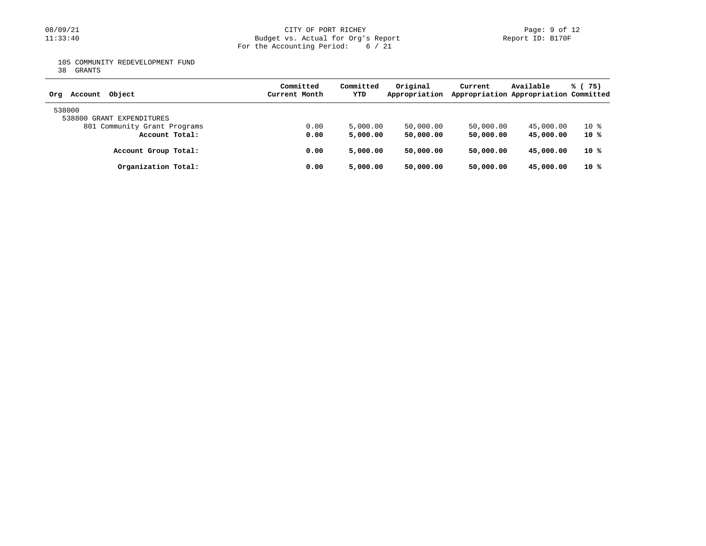# 08/09/21 CITY OF PORT RICHEY Page: 9 of 12<br>
Budget vs. Actual for Org's Report Page: 9 Of 12<br>
Page: 9 of 12 Budget vs. Actual for Org's Report For the Accounting Period: 6 / 21

105 COMMUNITY REDEVELOPMENT FUND

38 GRANTS

| Object<br>Account<br>Orq            | Committed<br>Current Month | Committed<br>YTD | Original<br>Appropriation | Current   | Available<br>Appropriation Appropriation Committed | % (75) |
|-------------------------------------|----------------------------|------------------|---------------------------|-----------|----------------------------------------------------|--------|
| 538000<br>538800 GRANT EXPENDITURES |                            |                  |                           |           |                                                    |        |
| 801 Community Grant Programs        | 0.00                       | 5,000.00         | 50,000.00                 | 50,000.00 | 45,000.00                                          | 10 %   |
| Account Total:                      | 0.00                       | 5,000.00         | 50,000.00                 | 50,000.00 | 45,000,00                                          | 10 %   |
| Account Group Total:                | 0.00                       | 5,000,00         | 50,000,00                 | 50,000.00 | 45,000,00                                          | 10 %   |
| Organization Total:                 | 0.00                       | 5,000,00         | 50,000,00                 | 50,000.00 | 45,000,00                                          | 10 %   |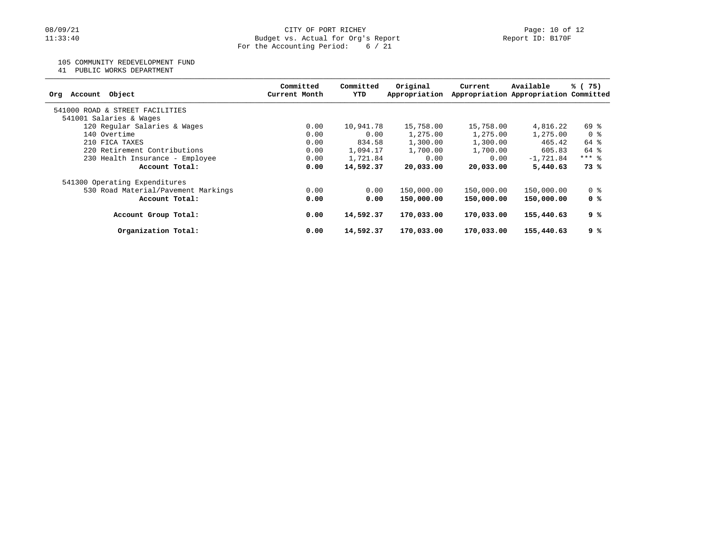105 COMMUNITY REDEVELOPMENT FUND

41 PUBLIC WORKS DEPARTMENT

| Committed<br>Current Month | Committed<br>YTD | Original   | Current                                                                                                    | Available     | % (75)                                                                                                                                                                                                                             |
|----------------------------|------------------|------------|------------------------------------------------------------------------------------------------------------|---------------|------------------------------------------------------------------------------------------------------------------------------------------------------------------------------------------------------------------------------------|
|                            |                  |            |                                                                                                            |               |                                                                                                                                                                                                                                    |
|                            |                  |            |                                                                                                            |               |                                                                                                                                                                                                                                    |
| 0.00                       |                  | 15,758.00  |                                                                                                            |               | 69 %                                                                                                                                                                                                                               |
| 0.00                       |                  | 1,275.00   |                                                                                                            |               | 0 %                                                                                                                                                                                                                                |
| 0.00                       |                  | 1,300.00   |                                                                                                            |               | 64 %                                                                                                                                                                                                                               |
| 0.00                       |                  | 1,700.00   |                                                                                                            | 605.83        | 64 %                                                                                                                                                                                                                               |
| 0.00                       |                  | 0.00       |                                                                                                            |               | $***$ 8                                                                                                                                                                                                                            |
| 0.00                       |                  | 20,033.00  |                                                                                                            | 5,440.63      | 73 %                                                                                                                                                                                                                               |
|                            |                  |            |                                                                                                            |               |                                                                                                                                                                                                                                    |
| 0.00                       |                  | 150,000.00 |                                                                                                            |               | 0 <sup>8</sup>                                                                                                                                                                                                                     |
| 0.00                       |                  | 150,000.00 |                                                                                                            | 150,000.00    | 0 %                                                                                                                                                                                                                                |
| 0.00                       |                  | 170,033.00 |                                                                                                            | 155,440.63    | ९ %                                                                                                                                                                                                                                |
| 0.00                       |                  | 170,033.00 |                                                                                                            | 155,440.63    | 9 %                                                                                                                                                                                                                                |
|                            |                  |            | 10,941.78<br>0.00<br>834.58<br>1,094.17<br>1,721.84<br>14,592.37<br>0.00<br>0.00<br>14,592.37<br>14,592.37 | Appropriation | Appropriation Appropriation Committed<br>15,758.00<br>4,816.22<br>1,275.00<br>1,275.00<br>465.42<br>1,300.00<br>1,700.00<br>0.00<br>$-1,721.84$<br>20,033,00<br>150,000.00<br>150,000.00<br>150,000.00<br>170,033.00<br>170,033.00 |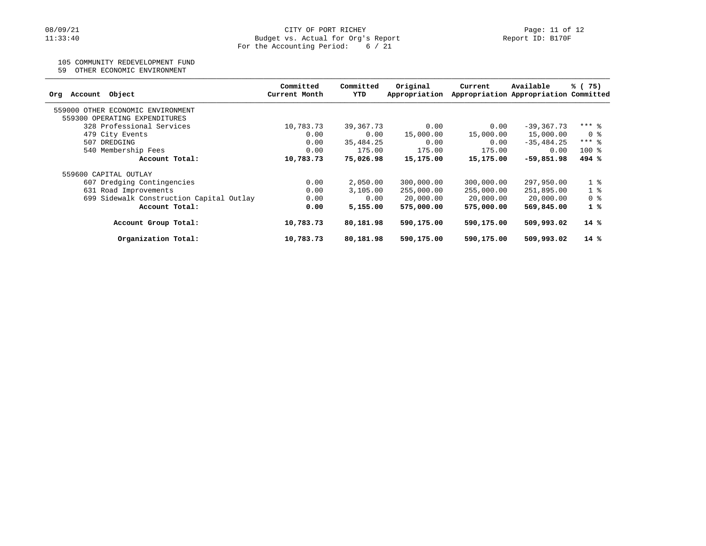## 105 COMMUNITY REDEVELOPMENT FUND

59 OTHER ECONOMIC ENVIRONMENT

| Object<br>Account<br>Orq                                           | Committed<br>Current Month | Committed<br>YTD | Original<br>Appropriation | Current    | Available<br>Appropriation Appropriation Committed | % (75)         |
|--------------------------------------------------------------------|----------------------------|------------------|---------------------------|------------|----------------------------------------------------|----------------|
| 559000 OTHER ECONOMIC ENVIRONMENT<br>559300 OPERATING EXPENDITURES |                            |                  |                           |            |                                                    |                |
| 328 Professional Services                                          | 10,783.73                  | 39,367.73        | 0.00                      | 0.00       | $-39, 367, 73$                                     | $***$ 8        |
| 479 City Events                                                    | 0.00                       | 0.00             | 15,000.00                 | 15,000.00  | 15,000.00                                          | 0 %            |
| 507 DREDGING                                                       | 0.00                       | 35,484.25        | 0.00                      | 0.00       | $-35, 484, 25$                                     | $***$ 8        |
| 540 Membership Fees                                                | 0.00                       | 175.00           | 175.00                    | 175.00     | 0.00                                               | $100*$         |
| Account Total:                                                     | 10,783.73                  | 75,026.98        | 15,175.00                 | 15,175.00  | $-59,851.98$                                       | 494%           |
| 559600 CAPITAL OUTLAY                                              |                            |                  |                           |            |                                                    |                |
| 607 Dredging Contingencies                                         | 0.00                       | 2,050.00         | 300,000.00                | 300,000.00 | 297,950.00                                         | 1 <sup>8</sup> |
| 631 Road Improvements                                              | 0.00                       | 3,105.00         | 255,000.00                | 255,000.00 | 251,895.00                                         | 1 <sub>8</sub> |
| 699 Sidewalk Construction Capital Outlay                           | 0.00                       | 0.00             | 20,000.00                 | 20,000.00  | 20,000.00                                          | 0 <sup>8</sup> |
| Account Total:                                                     | 0.00                       | 5,155.00         | 575,000,00                | 575,000.00 | 569,845.00                                         | 1%             |
| Account Group Total:                                               | 10,783.73                  | 80,181.98        | 590,175.00                | 590,175.00 | 509,993.02                                         | $14*$          |
| Organization Total:                                                | 10,783.73                  | 80,181.98        | 590,175.00                | 590,175.00 | 509,993.02                                         | $14*$          |